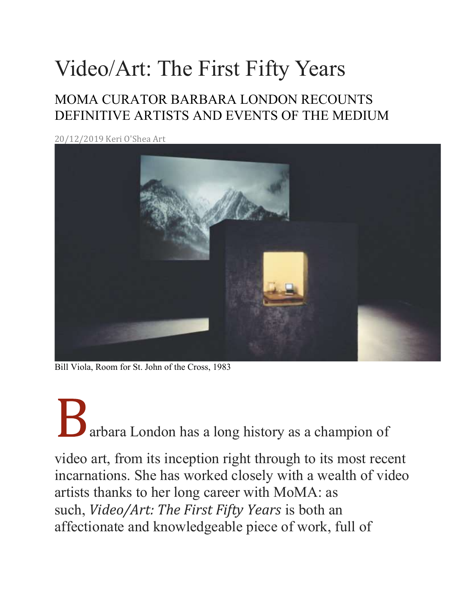## Video/Art: The First Fifty Years

## MOMA CURATOR BARBARA LONDON RECOUNTS DEFINITIVE ARTISTS AND EVENTS OF THE MEDIUM

20/12/2019 Keri O'Shea Art



Bill Viola, Room for St. John of the Cross, 1983

## A<br>arbara London has a long history as a champion of

video art, from its inception right through to its most recent incarnations. She has worked closely with a wealth of video artists thanks to her long career with MoMA: as such, Video/Art: The First Fifty Years is both an affectionate and knowledgeable piece of work, full of